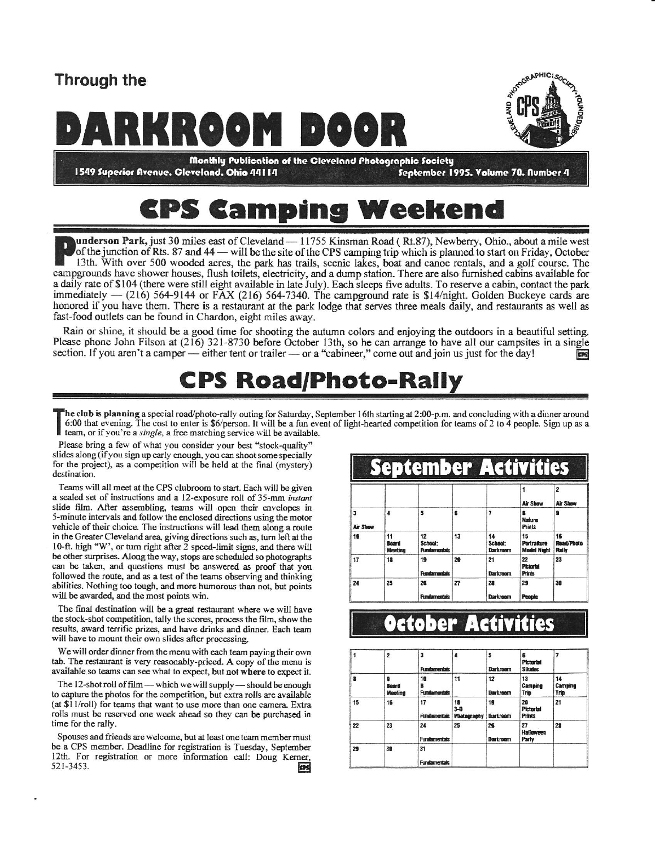### Through the

# Monthly Publication of the Cleveland Photographic Society



1549 Superior Avenue, Gleveland, Ohio 44114 September 1995, Volume 70. Number 4

# CPS Camping Weekend

Aunderson Park, just 30 miles east of Cleveland — 11755 Kinsman Road (Rt.87), Newberry, Ohio., about a mile west of the junction of Rts. 87 and 44 — will be the site of the CPS camping trip which is planned to start on Friday, October 13th. With over 500 wooded acres, the park has trails, scenic lakes, boat and canoe rentals, and a golf course. The campgrounds have shower houses, flush toilets, electricity, and a dump station. There are also furnished cabins available for a daily rate of \$104 (there were still eight available in late July). Each sleeps five adults. To reserve a cabin, contact the park immediately  $-$  (216) 564-9144 or FAX (216) 564-7340. The campground rate is \$14/night. Golden Buckeye cards are honored if you have them. There is a restaurant at the park lodge that serves three meals daily, and restaurants as well as fast-food outlets can be found in Chardon, eight miles away.

Rain or shing it should be a good time for shooting the autumn colors and enjoying the outdoors in a beautiful setting. Please phone John Filson at (216) 321-8730 before October 13th, so he can arrange to have all our campsites in a single section. If you aren't a camper — either tent or trailer — or a "cabineer," come out and join us just for the day!

## **CPS Road/Photo-Rally**

he club is planning a special road/photo-rally outing for Saturday, September 16th starting at 2:00-p.m. and concluding with a dinner around 6:00 that evening. The cost to enter is  $$6/person.$  It will be a fun event of light-hearted competition for teams of 2 to 4 people. Sign up as a team, or if you're a *single*, a free matching service will be available.

Please bring a few of what you consider your best "stock-quality" slides along (if you sign up early enough, you can shoot some specially for the project), as a competition will be held at the final (mystery) destination.

Teams will all meet at the CPS clubroom to start. Each will be given a sealed set of instructions and a 12-exposure roll of 35-mm instant slide film. After assembling, teams will open their envelopes in 5-minute intervals and follow the enclosed directions using the motor vehicle of their choice. The instructions will lead them along a route in the Greater Cleveland area, giving directions such as, turn left at the 10-ft. high "W', or turn right after 2 speed-limit signs, and there will be other surprises. Along the way, stops are scheduled so photographs can be taken, and questions must be answered as proof that you followed the route, and as a test of the teams observing and thinking abilities. Nothing too tough, and more humorous than not, but points will be awarded, and the most points win.

The final destination will be a great restaurant where we will have the stock-shot competition, tally the scores, process the film, show the results, award terrific prizes, and have drinks and dinner. Each team will have to mount their own slides after processing.

We will order dinner from the menu with each team paying their own tab. The restaurant is very reasonably-priced. A copy of the menu is available so teams can see what to expect, but not where to expect it.

The 12-shot roll of  $film$  - which we will supply - should be enough to capture the photos for the competition, but extra rolls are available (at  $$11$ /roll) for teams that want to use more than one camera. Extra rolls must be reserved one week ahead so they can be purchased in time for the rally.

Spouses and friends are welcome, but at least one team member must be a CPS member. Deadline for registration is Tuesday, September 12th. For registration or more information call: Doug Kerner, 52t-3453. **EPS** 

| <b>September Activities</b> |                        |                                      |    |                                  |                                         |                           |  |  |
|-----------------------------|------------------------|--------------------------------------|----|----------------------------------|-----------------------------------------|---------------------------|--|--|
|                             |                        |                                      |    |                                  | Air Show                                | <b>Air Show</b>           |  |  |
| 3<br><b>Air Show</b>        |                        | 5                                    | s  | 7                                | <b>Nature</b><br>Prints                 |                           |  |  |
| 10                          | 11<br>Board<br>Meeting | 12<br>School:<br><b>Fundamentals</b> | 13 | 14<br>School:<br><b>Darkreem</b> | 15<br>Portraiture<br>Model Night        | 16<br>Read/Phote<br>Raily |  |  |
| 17                          | 18                     | 19<br><b>Fundamentals</b>            | 29 | 21<br>Darkroom                   | 22<br><b>Pictorial</b><br><b>Prints</b> | 23                        |  |  |
| 24                          | 25                     | 26<br><b>Fundamentals</b>            | 27 | 28<br>Darkroom                   | 29<br>People                            | 30                        |  |  |

## October Activities

|    | $\overline{2}$   | Fundamentals              |                                                    | 5<br>Darkroom  | <b>Pictorial</b><br><b>Sikides</b>      |                       |
|----|------------------|---------------------------|----------------------------------------------------|----------------|-----------------------------------------|-----------------------|
|    | Board<br>Meeting | 10<br>в<br>Fundamentals   | 11                                                 | 12<br>Darkroom | 13<br>Camping<br>Trip                   | 14<br>Camping<br>Trip |
| 15 | 15               | 17                        | 18<br>$3 - D$<br>Fundamentals Photography Darkroom | 15             | 28<br><b>Pictorial</b><br><b>Prints</b> | 21                    |
| 22 | 23               | 24<br>Fundamentals        | 25                                                 | 25<br>Darkroom | 27<br><b>Halleween</b><br>Party         | 28                    |
| 29 | 38               | 31<br><b>Fundamentals</b> |                                                    |                |                                         |                       |